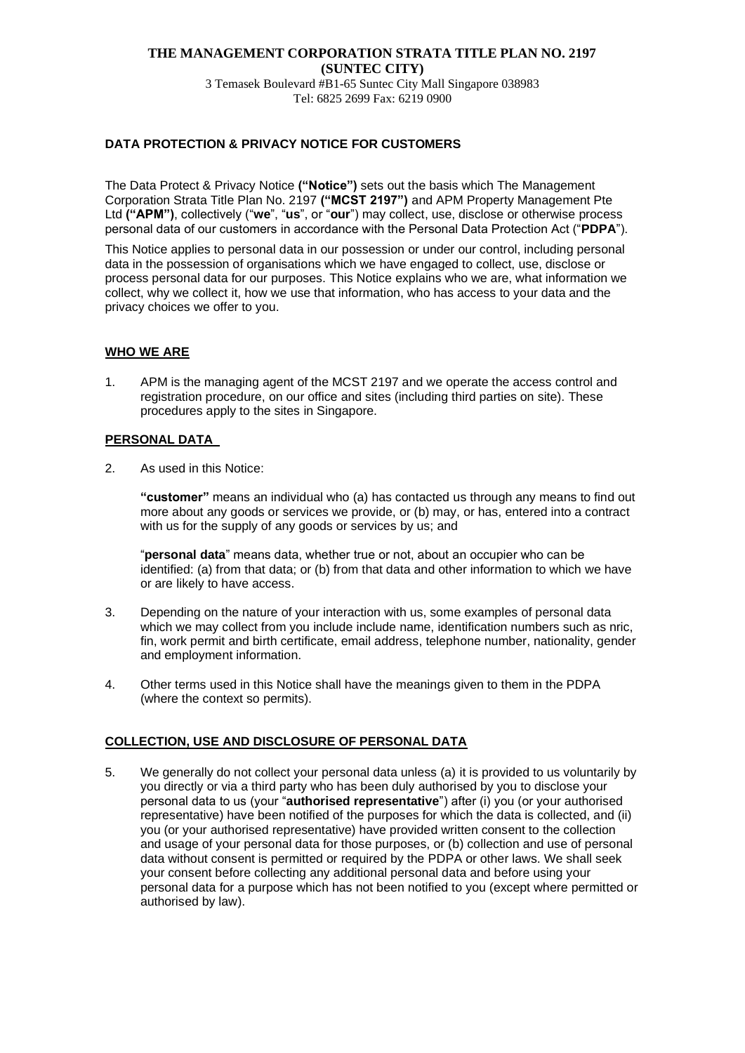#### **THE MANAGEMENT CORPORATION STRATA TITLE PLAN NO. 2197 (SUNTEC CITY)** 3 Temasek Boulevard #B1-65 Suntec City Mall Singapore 038983

Tel: 6825 2699 Fax: 6219 0900

## **DATA PROTECTION & PRIVACY NOTICE FOR CUSTOMERS**

The Data Protect & Privacy Notice **("Notice")** sets out the basis which The Management Corporation Strata Title Plan No. 2197 **("MCST 2197")** and APM Property Management Pte Ltd **("APM")**, collectively ("**we**", "**us**", or "**our**") may collect, use, disclose or otherwise process personal data of our customers in accordance with the Personal Data Protection Act ("**PDPA**").

This Notice applies to personal data in our possession or under our control, including personal data in the possession of organisations which we have engaged to collect, use, disclose or process personal data for our purposes. This Notice explains who we are, what information we collect, why we collect it, how we use that information, who has access to your data and the privacy choices we offer to you.

## **WHO WE ARE**

1. APM is the managing agent of the MCST 2197 and we operate the access control and registration procedure, on our office and sites (including third parties on site). These procedures apply to the sites in Singapore.

#### **PERSONAL DATA**

2. As used in this Notice:

**"customer"** means an individual who (a) has contacted us through any means to find out more about any goods or services we provide, or (b) may, or has, entered into a contract with us for the supply of any goods or services by us; and

"**personal data**" means data, whether true or not, about an occupier who can be identified: (a) from that data; or (b) from that data and other information to which we have or are likely to have access.

- 3. Depending on the nature of your interaction with us, some examples of personal data which we may collect from you include include name, identification numbers such as nric, fin, work permit and birth certificate, email address, telephone number, nationality, gender and employment information.
- 4. Other terms used in this Notice shall have the meanings given to them in the PDPA (where the context so permits).

#### **COLLECTION, USE AND DISCLOSURE OF PERSONAL DATA**

5. We generally do not collect your personal data unless (a) it is provided to us voluntarily by you directly or via a third party who has been duly authorised by you to disclose your personal data to us (your "**authorised representative**") after (i) you (or your authorised representative) have been notified of the purposes for which the data is collected, and (ii) you (or your authorised representative) have provided written consent to the collection and usage of your personal data for those purposes, or (b) collection and use of personal data without consent is permitted or required by the PDPA or other laws. We shall seek your consent before collecting any additional personal data and before using your personal data for a purpose which has not been notified to you (except where permitted or authorised by law).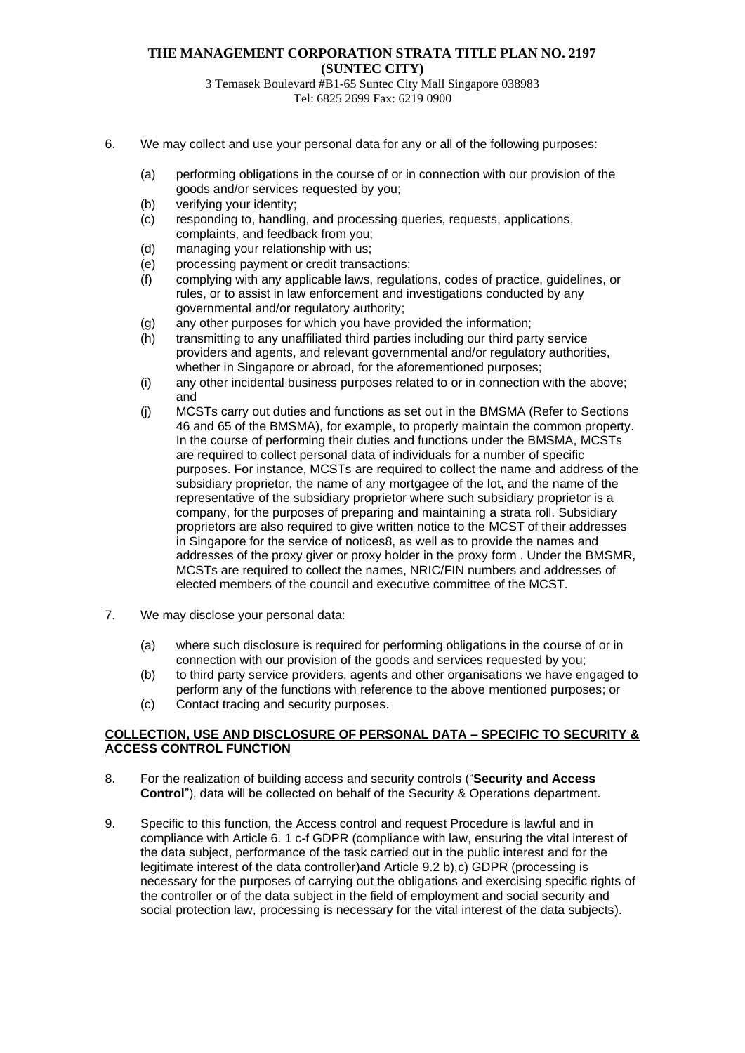# **THE MANAGEMENT CORPORATION STRATA TITLE PLAN NO. 2197 (SUNTEC CITY)**

3 Temasek Boulevard #B1-65 Suntec City Mall Singapore 038983 Tel: 6825 2699 Fax: 6219 0900

- 6. We may collect and use your personal data for any or all of the following purposes:
	- (a) performing obligations in the course of or in connection with our provision of the goods and/or services requested by you;
	- (b) verifying your identity;
	- (c) responding to, handling, and processing queries, requests, applications, complaints, and feedback from you;
	- (d) managing your relationship with us;
	- (e) processing payment or credit transactions;
	- (f) complying with any applicable laws, regulations, codes of practice, guidelines, or rules, or to assist in law enforcement and investigations conducted by any governmental and/or regulatory authority;
	- (g) any other purposes for which you have provided the information;
	- (h) transmitting to any unaffiliated third parties including our third party service providers and agents, and relevant governmental and/or regulatory authorities, whether in Singapore or abroad, for the aforementioned purposes;
	- (i) any other incidental business purposes related to or in connection with the above; and
	- (j) MCSTs carry out duties and functions as set out in the BMSMA (Refer to Sections 46 and 65 of the BMSMA), for example, to properly maintain the common property. In the course of performing their duties and functions under the BMSMA, MCSTs are required to collect personal data of individuals for a number of specific purposes. For instance, MCSTs are required to collect the name and address of the subsidiary proprietor, the name of any mortgagee of the lot, and the name of the representative of the subsidiary proprietor where such subsidiary proprietor is a company, for the purposes of preparing and maintaining a strata roll. Subsidiary proprietors are also required to give written notice to the MCST of their addresses in Singapore for the service of notices8, as well as to provide the names and addresses of the proxy giver or proxy holder in the proxy form . Under the BMSMR, MCSTs are required to collect the names, NRIC/FIN numbers and addresses of elected members of the council and executive committee of the MCST.
- 7. We may disclose your personal data:
	- (a) where such disclosure is required for performing obligations in the course of or in connection with our provision of the goods and services requested by you;
	- (b) to third party service providers, agents and other organisations we have engaged to perform any of the functions with reference to the above mentioned purposes; or
	- (c) Contact tracing and security purposes.

#### **COLLECTION, USE AND DISCLOSURE OF PERSONAL DATA – SPECIFIC TO SECURITY & ACCESS CONTROL FUNCTION**

- 8. For the realization of building access and security controls ("**Security and Access Control**"), data will be collected on behalf of the Security & Operations department.
- 9. Specific to this function, the Access control and request Procedure is lawful and in compliance with Article 6. 1 c-f GDPR (compliance with law, ensuring the vital interest of the data subject, performance of the task carried out in the public interest and for the legitimate interest of the data controller)and Article 9.2 b),c) GDPR (processing is necessary for the purposes of carrying out the obligations and exercising specific rights of the controller or of the data subject in the field of employment and social security and social protection law, processing is necessary for the vital interest of the data subjects).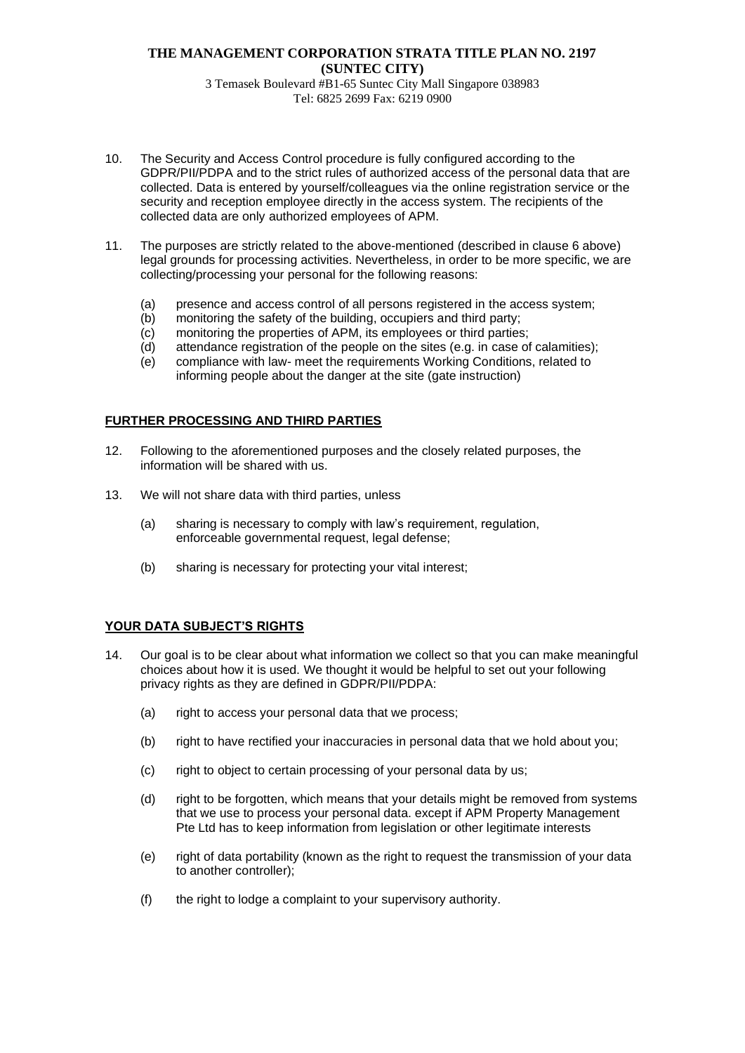# **THE MANAGEMENT CORPORATION STRATA TITLE PLAN NO. 2197 (SUNTEC CITY)** 3 Temasek Boulevard #B1-65 Suntec City Mall Singapore 038983

- Tel: 6825 2699 Fax: 6219 0900
- 10. The Security and Access Control procedure is fully configured according to the GDPR/PII/PDPA and to the strict rules of authorized access of the personal data that are collected. Data is entered by yourself/colleagues via the online registration service or the security and reception employee directly in the access system. The recipients of the collected data are only authorized employees of APM.
- 11. The purposes are strictly related to the above-mentioned (described in clause 6 above) legal grounds for processing activities. Nevertheless, in order to be more specific, we are collecting/processing your personal for the following reasons:
	- (a) presence and access control of all persons registered in the access system;
	- (b) monitoring the safety of the building, occupiers and third party;
	- (c) monitoring the properties of APM, its employees or third parties;
	- (d) attendance registration of the people on the sites (e.g. in case of calamities);
	- (e) compliance with law- meet the requirements Working Conditions, related to informing people about the danger at the site (gate instruction)

## **FURTHER PROCESSING AND THIRD PARTIES**

- 12. Following to the aforementioned purposes and the closely related purposes, the information will be shared with us.
- 13. We will not share data with third parties, unless
	- (a) sharing is necessary to comply with law's requirement, regulation, enforceable governmental request, legal defense;
	- (b) sharing is necessary for protecting your vital interest;

#### **YOUR DATA SUBJECT'S RIGHTS**

- 14. Our goal is to be clear about what information we collect so that you can make meaningful choices about how it is used. We thought it would be helpful to set out your following privacy rights as they are defined in GDPR/PII/PDPA:
	- (a) right to access your personal data that we process;
	- (b) right to have rectified your inaccuracies in personal data that we hold about you;
	- (c) right to object to certain processing of your personal data by us;
	- (d) right to be forgotten, which means that your details might be removed from systems that we use to process your personal data. except if APM Property Management Pte Ltd has to keep information from legislation or other legitimate interests
	- (e) right of data portability (known as the right to request the transmission of your data to another controller);
	- (f) the right to lodge a complaint to your supervisory authority.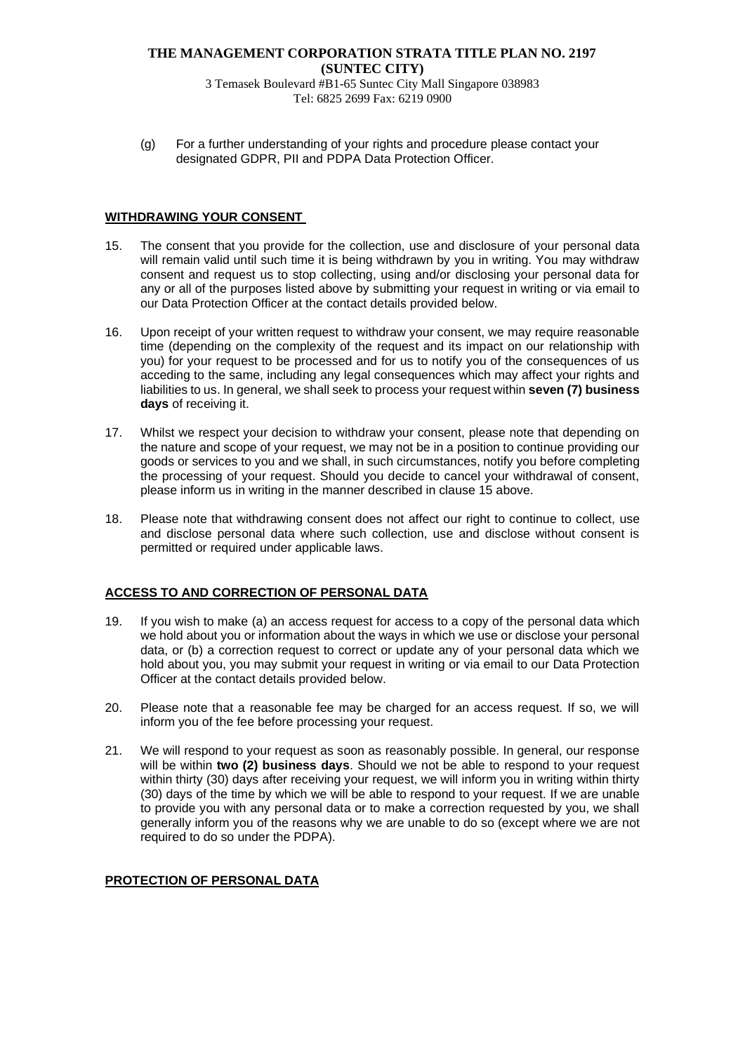# **THE MANAGEMENT CORPORATION STRATA TITLE PLAN NO. 2197 (SUNTEC CITY)**

3 Temasek Boulevard #B1-65 Suntec City Mall Singapore 038983 Tel: 6825 2699 Fax: 6219 0900

(g) For a further understanding of your rights and procedure please contact your designated GDPR, PII and PDPA Data Protection Officer.

#### **WITHDRAWING YOUR CONSENT**

- 15. The consent that you provide for the collection, use and disclosure of your personal data will remain valid until such time it is being withdrawn by you in writing. You may withdraw consent and request us to stop collecting, using and/or disclosing your personal data for any or all of the purposes listed above by submitting your request in writing or via email to our Data Protection Officer at the contact details provided below.
- 16. Upon receipt of your written request to withdraw your consent, we may require reasonable time (depending on the complexity of the request and its impact on our relationship with you) for your request to be processed and for us to notify you of the consequences of us acceding to the same, including any legal consequences which may affect your rights and liabilities to us. In general, we shall seek to process your request within **seven (7) business days** of receiving it.
- 17. Whilst we respect your decision to withdraw your consent, please note that depending on the nature and scope of your request, we may not be in a position to continue providing our goods or services to you and we shall, in such circumstances, notify you before completing the processing of your request. Should you decide to cancel your withdrawal of consent, please inform us in writing in the manner described in clause 15 above.
- 18. Please note that withdrawing consent does not affect our right to continue to collect, use and disclose personal data where such collection, use and disclose without consent is permitted or required under applicable laws.

#### **ACCESS TO AND CORRECTION OF PERSONAL DATA**

- 19. If you wish to make (a) an access request for access to a copy of the personal data which we hold about you or information about the ways in which we use or disclose your personal data, or (b) a correction request to correct or update any of your personal data which we hold about you, you may submit your request in writing or via email to our Data Protection Officer at the contact details provided below.
- 20. Please note that a reasonable fee may be charged for an access request. If so, we will inform you of the fee before processing your request.
- 21. We will respond to your request as soon as reasonably possible. In general, our response will be within **two (2) business days**. Should we not be able to respond to your request within thirty (30) days after receiving your request, we will inform you in writing within thirty (30) days of the time by which we will be able to respond to your request. If we are unable to provide you with any personal data or to make a correction requested by you, we shall generally inform you of the reasons why we are unable to do so (except where we are not required to do so under the PDPA).

#### **PROTECTION OF PERSONAL DATA**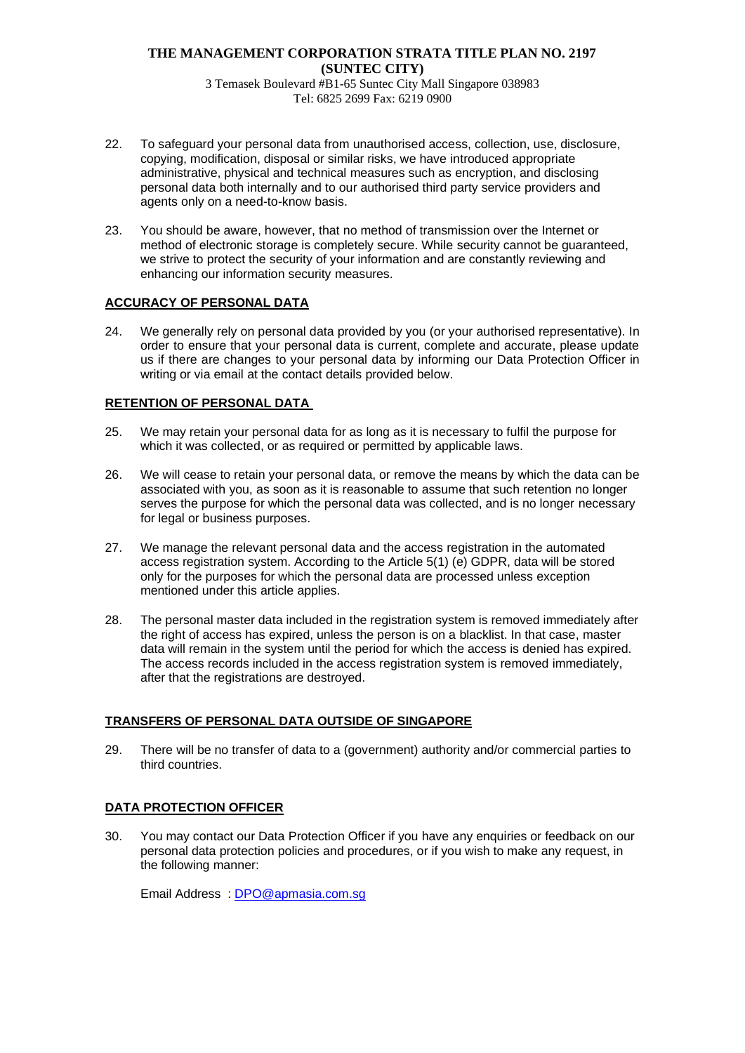# **THE MANAGEMENT CORPORATION STRATA TITLE PLAN NO. 2197 (SUNTEC CITY)**

3 Temasek Boulevard #B1-65 Suntec City Mall Singapore 038983 Tel: 6825 2699 Fax: 6219 0900

- 22. To safeguard your personal data from unauthorised access, collection, use, disclosure, copying, modification, disposal or similar risks, we have introduced appropriate administrative, physical and technical measures such as encryption, and disclosing personal data both internally and to our authorised third party service providers and agents only on a need-to-know basis.
- 23. You should be aware, however, that no method of transmission over the Internet or method of electronic storage is completely secure. While security cannot be guaranteed, we strive to protect the security of your information and are constantly reviewing and enhancing our information security measures.

# **ACCURACY OF PERSONAL DATA**

24. We generally rely on personal data provided by you (or your authorised representative). In order to ensure that your personal data is current, complete and accurate, please update us if there are changes to your personal data by informing our Data Protection Officer in writing or via email at the contact details provided below.

## **RETENTION OF PERSONAL DATA**

- 25. We may retain your personal data for as long as it is necessary to fulfil the purpose for which it was collected, or as required or permitted by applicable laws.
- 26. We will cease to retain your personal data, or remove the means by which the data can be associated with you, as soon as it is reasonable to assume that such retention no longer serves the purpose for which the personal data was collected, and is no longer necessary for legal or business purposes.
- 27. We manage the relevant personal data and the access registration in the automated access registration system. According to the Article 5(1) (e) GDPR, data will be stored only for the purposes for which the personal data are processed unless exception mentioned under this article applies.
- 28. The personal master data included in the registration system is removed immediately after the right of access has expired, unless the person is on a blacklist. In that case, master data will remain in the system until the period for which the access is denied has expired. The access records included in the access registration system is removed immediately, after that the registrations are destroyed.

# **TRANSFERS OF PERSONAL DATA OUTSIDE OF SINGAPORE**

29. There will be no transfer of data to a (government) authority and/or commercial parties to third countries.

# **DATA PROTECTION OFFICER**

30. You may contact our Data Protection Officer if you have any enquiries or feedback on our personal data protection policies and procedures, or if you wish to make any request, in the following manner:

Email Address : [DPO@apmasia.com.sg](mailto:DPO@apmasia.com.sg)